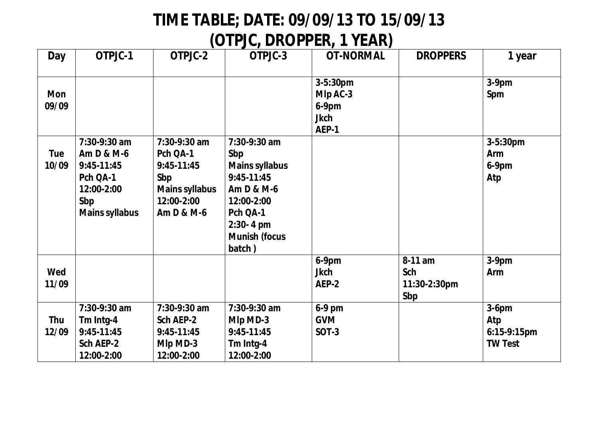## **TIME TABLE; DATE: 09/09/13 TO 15/09/13**

## **(OTPJC, DROPPER, 1 YEAR)**

| Day                 | OTPJC-1                                                                                            | OTPJC-2                                                                                                | OTPJC-3                                                                                                                                                   | <b>OT-NORMAL</b>                                             | <b>DROPPERS</b>                       | 1 year                                           |
|---------------------|----------------------------------------------------------------------------------------------------|--------------------------------------------------------------------------------------------------------|-----------------------------------------------------------------------------------------------------------------------------------------------------------|--------------------------------------------------------------|---------------------------------------|--------------------------------------------------|
|                     |                                                                                                    |                                                                                                        |                                                                                                                                                           |                                                              |                                       |                                                  |
| <b>Mon</b><br>09/09 |                                                                                                    |                                                                                                        |                                                                                                                                                           | $3 - 5:30pm$<br>Mlp AC-3<br>$6-9$ pm<br><b>Jkch</b><br>AEP-1 |                                       | $3-9$ pm<br>Spm                                  |
| <b>Tue</b><br>10/09 | 7:30-9:30 am<br>Am D & M-6<br>9:45-11:45<br>Pch QA-1<br>12:00-2:00<br>Sbp<br><b>Mains syllabus</b> | $7:30-9:30$ am<br>Pch QA-1<br>$9:45-11:45$<br>Sbp<br><b>Mains syllabus</b><br>12:00-2:00<br>Am D & M-6 | $7:30-9:30$ am<br>Sbp<br><b>Mains syllabus</b><br>$9:45-11:45$<br>Am D & M-6<br>12:00-2:00<br>Pch QA-1<br>$2:30 - 4$ pm<br><b>Munish (focus</b><br>batch) |                                                              |                                       | 3-5:30pm<br><b>Arm</b><br>$6-9$ pm<br>Atp        |
| Wed<br>11/09        |                                                                                                    |                                                                                                        |                                                                                                                                                           | $6-9$ pm<br><b>Jkch</b><br>AEP-2                             | 8-11 am<br>Sch<br>11:30-2:30pm<br>Sbp | $3-9pm$<br>Arm                                   |
| Thu<br>12/09        | 7:30-9:30 am<br>Tm Intg-4<br>$9:45-11:45$<br>Sch AEP-2<br>12:00-2:00                               | 7:30-9:30 am<br>Sch AEP-2<br>9:45-11:45<br>Mlp MD-3<br>12:00-2:00                                      | 7:30-9:30 am<br>Mlp MD-3<br>$9:45-11:45$<br>Tm Intg-4<br>12:00-2:00                                                                                       | 6-9 pm<br><b>GVM</b><br><b>SOT-3</b>                         |                                       | $3-6$ pm<br>Atp<br>6:15-9:15pm<br><b>TW Test</b> |